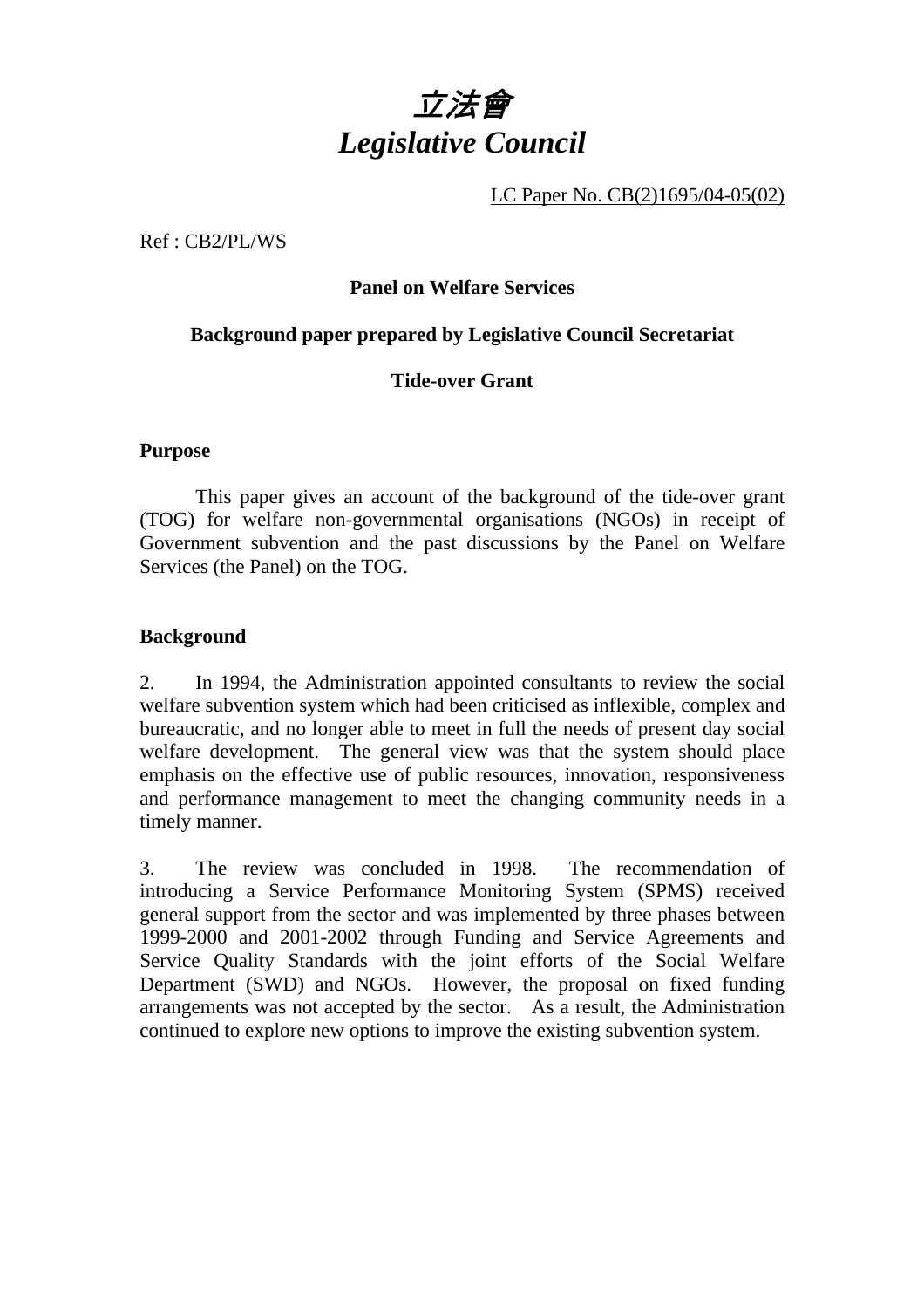

LC Paper No. CB(2)1695/04-05(02)

Ref : CB2/PL/WS

### **Panel on Welfare Services**

### **Background paper prepared by Legislative Council Secretariat**

### **Tide-over Grant**

#### **Purpose**

 This paper gives an account of the background of the tide-over grant (TOG) for welfare non-governmental organisations (NGOs) in receipt of Government subvention and the past discussions by the Panel on Welfare Services (the Panel) on the TOG.

#### **Background**

2. In 1994, the Administration appointed consultants to review the social welfare subvention system which had been criticised as inflexible, complex and bureaucratic, and no longer able to meet in full the needs of present day social welfare development. The general view was that the system should place emphasis on the effective use of public resources, innovation, responsiveness and performance management to meet the changing community needs in a timely manner.

3. The review was concluded in 1998. The recommendation of introducing a Service Performance Monitoring System (SPMS) received general support from the sector and was implemented by three phases between 1999-2000 and 2001-2002 through Funding and Service Agreements and Service Quality Standards with the joint efforts of the Social Welfare Department (SWD) and NGOs. However, the proposal on fixed funding arrangements was not accepted by the sector. As a result, the Administration continued to explore new options to improve the existing subvention system.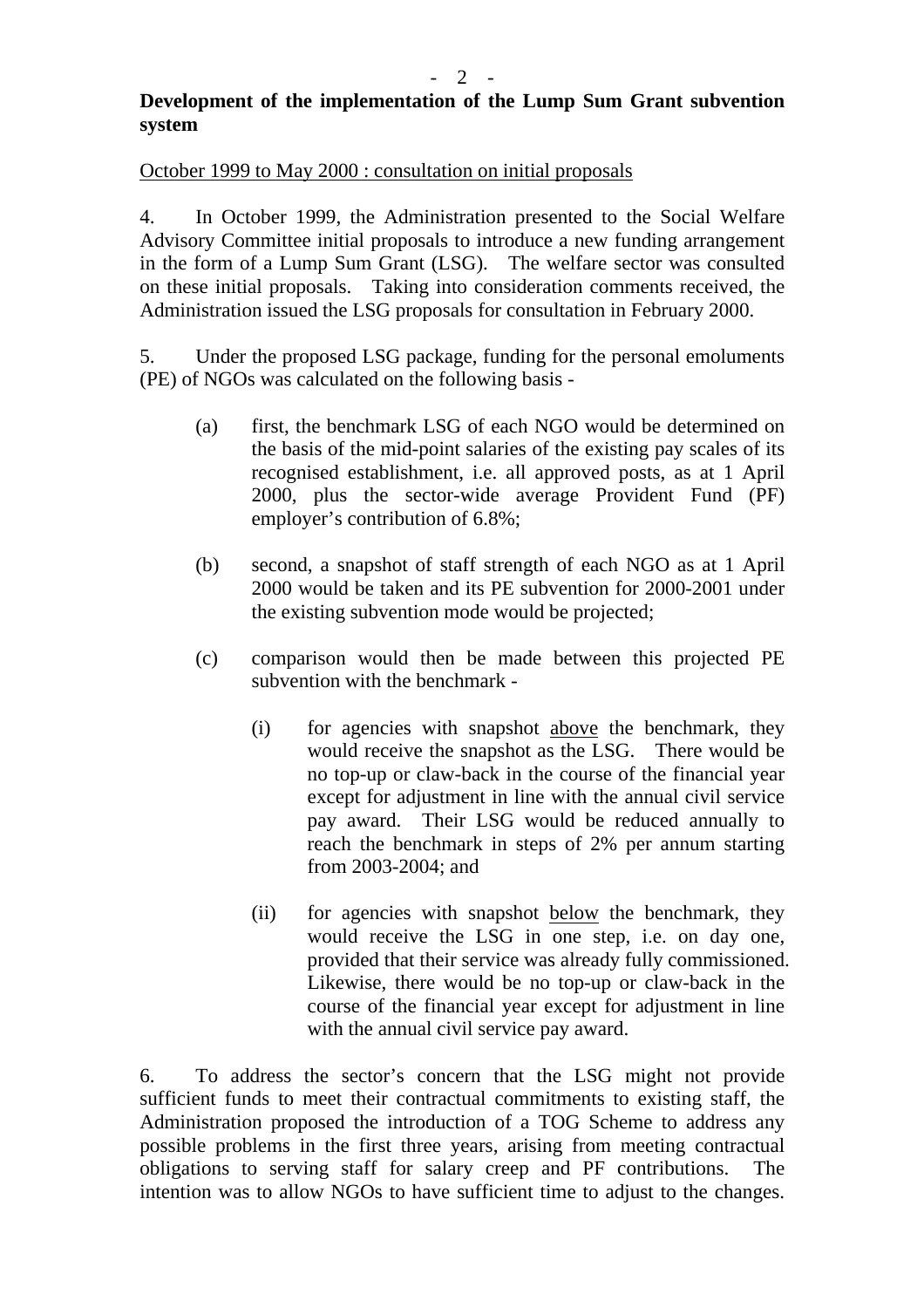### **Development of the implementation of the Lump Sum Grant subvention system**

#### October 1999 to May 2000 : consultation on initial proposals

4. In October 1999, the Administration presented to the Social Welfare Advisory Committee initial proposals to introduce a new funding arrangement in the form of a Lump Sum Grant (LSG). The welfare sector was consulted on these initial proposals. Taking into consideration comments received, the Administration issued the LSG proposals for consultation in February 2000.

5. Under the proposed LSG package, funding for the personal emoluments (PE) of NGOs was calculated on the following basis -

- (a) first, the benchmark LSG of each NGO would be determined on the basis of the mid-point salaries of the existing pay scales of its recognised establishment, i.e. all approved posts, as at 1 April 2000, plus the sector-wide average Provident Fund (PF) employer's contribution of 6.8%;
- (b) second, a snapshot of staff strength of each NGO as at 1 April 2000 would be taken and its PE subvention for 2000-2001 under the existing subvention mode would be projected;
- (c) comparison would then be made between this projected PE subvention with the benchmark -
	- (i) for agencies with snapshot above the benchmark, they would receive the snapshot as the LSG. There would be no top-up or claw-back in the course of the financial year except for adjustment in line with the annual civil service pay award. Their LSG would be reduced annually to reach the benchmark in steps of 2% per annum starting from 2003-2004; and
	- (ii) for agencies with snapshot below the benchmark, they would receive the LSG in one step, i.e. on day one, provided that their service was already fully commissioned. Likewise, there would be no top-up or claw-back in the course of the financial year except for adjustment in line with the annual civil service pay award.

6. To address the sector's concern that the LSG might not provide sufficient funds to meet their contractual commitments to existing staff, the Administration proposed the introduction of a TOG Scheme to address any possible problems in the first three years, arising from meeting contractual obligations to serving staff for salary creep and PF contributions. The intention was to allow NGOs to have sufficient time to adjust to the changes.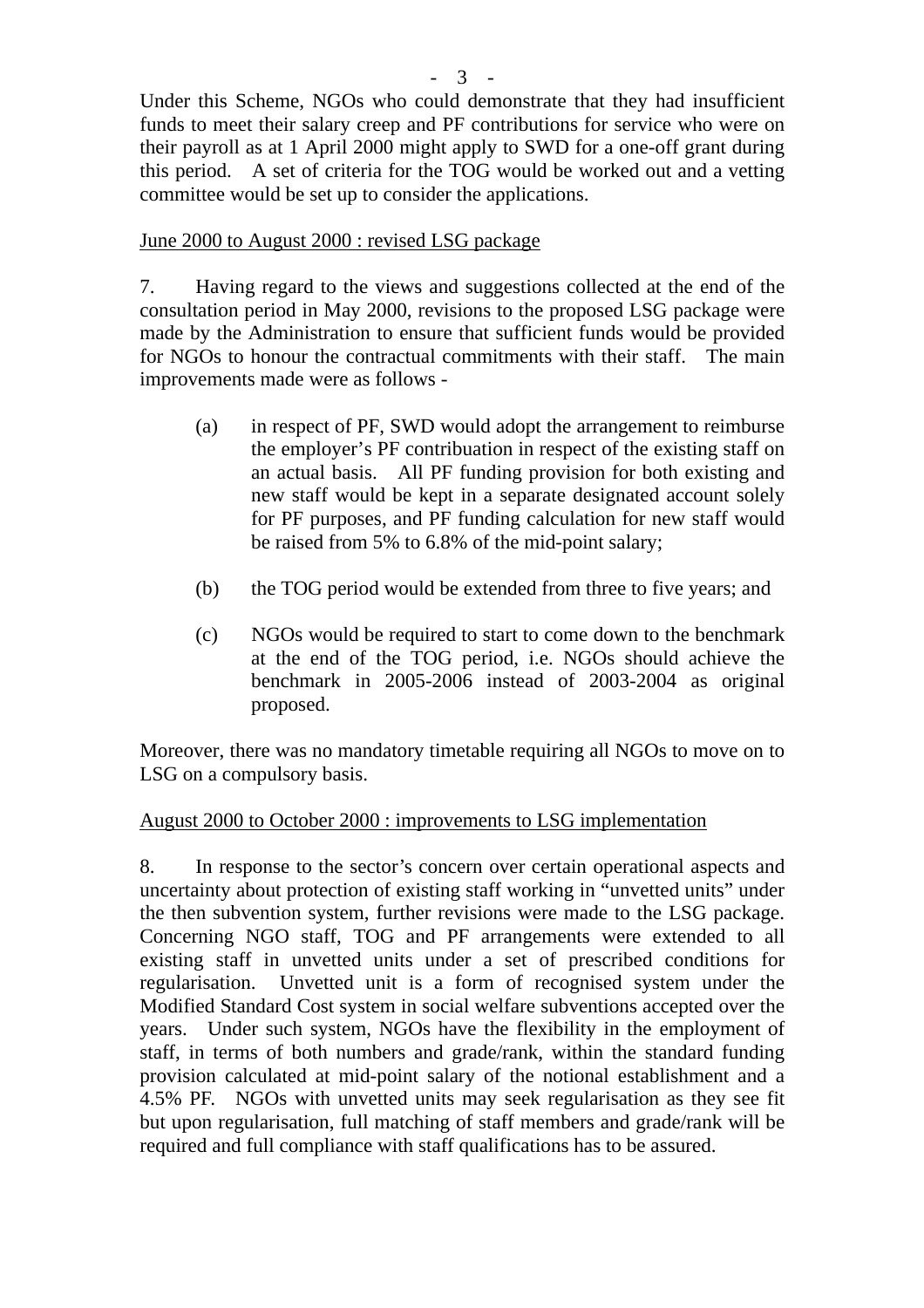Under this Scheme, NGOs who could demonstrate that they had insufficient funds to meet their salary creep and PF contributions for service who were on their payroll as at 1 April 2000 might apply to SWD for a one-off grant during this period. A set of criteria for the TOG would be worked out and a vetting committee would be set up to consider the applications.

# June 2000 to August 2000 : revised LSG package

7. Having regard to the views and suggestions collected at the end of the consultation period in May 2000, revisions to the proposed LSG package were made by the Administration to ensure that sufficient funds would be provided for NGOs to honour the contractual commitments with their staff. The main improvements made were as follows -

- (a) in respect of PF, SWD would adopt the arrangement to reimburse the employer's PF contribuation in respect of the existing staff on an actual basis. All PF funding provision for both existing and new staff would be kept in a separate designated account solely for PF purposes, and PF funding calculation for new staff would be raised from 5% to 6.8% of the mid-point salary;
- (b) the TOG period would be extended from three to five years; and
- (c) NGOs would be required to start to come down to the benchmark at the end of the TOG period, i.e. NGOs should achieve the benchmark in 2005-2006 instead of 2003-2004 as original proposed.

Moreover, there was no mandatory timetable requiring all NGOs to move on to LSG on a compulsory basis.

## August 2000 to October 2000 : improvements to LSG implementation

8. In response to the sector's concern over certain operational aspects and uncertainty about protection of existing staff working in "unvetted units" under the then subvention system, further revisions were made to the LSG package. Concerning NGO staff, TOG and PF arrangements were extended to all existing staff in unvetted units under a set of prescribed conditions for regularisation. Unvetted unit is a form of recognised system under the Modified Standard Cost system in social welfare subventions accepted over the years. Under such system, NGOs have the flexibility in the employment of staff, in terms of both numbers and grade/rank, within the standard funding provision calculated at mid-point salary of the notional establishment and a 4.5% PF. NGOs with unvetted units may seek regularisation as they see fit but upon regularisation, full matching of staff members and grade/rank will be required and full compliance with staff qualifications has to be assured.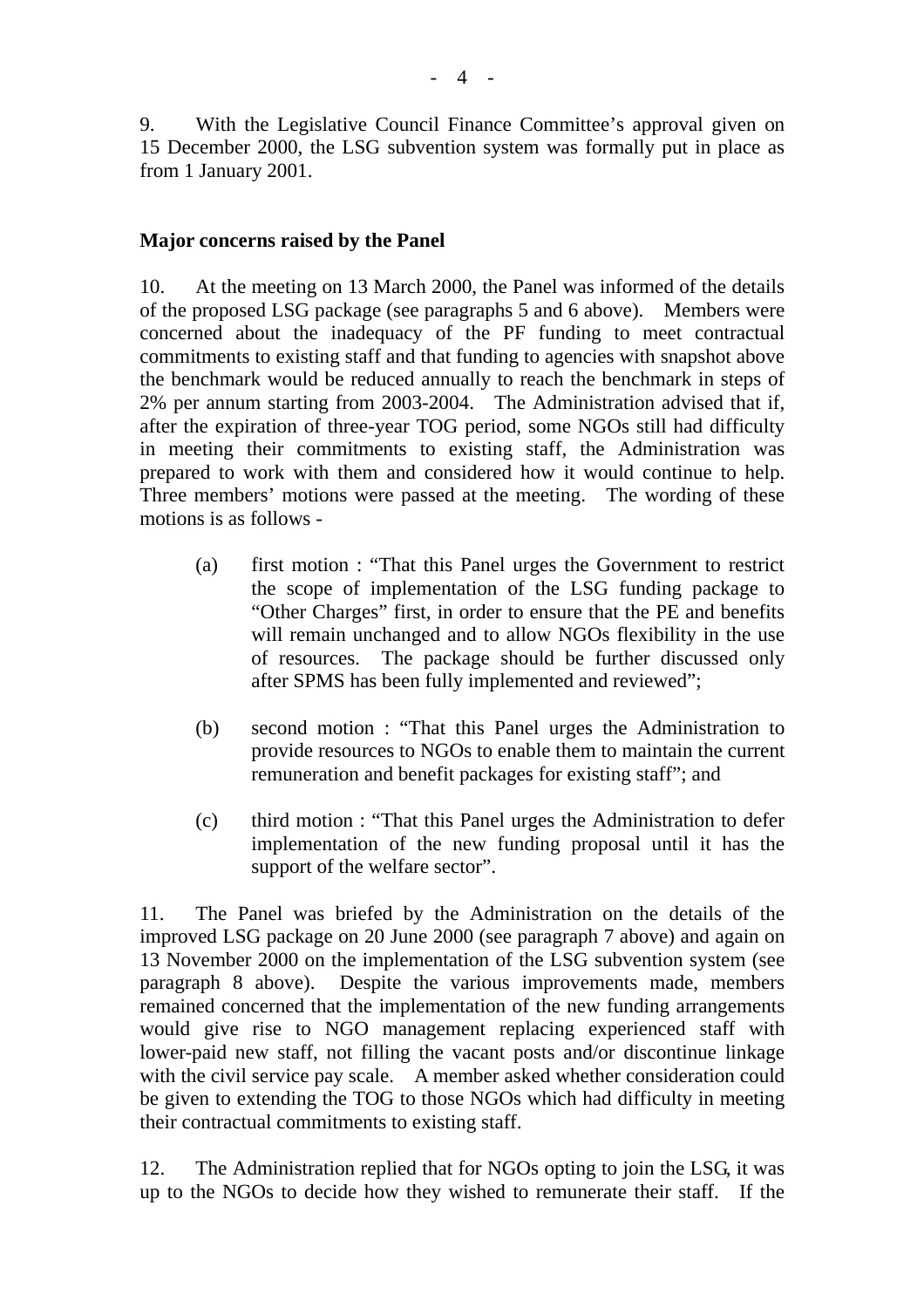9. With the Legislative Council Finance Committee's approval given on 15 December 2000, the LSG subvention system was formally put in place as from 1 January 2001.

### **Major concerns raised by the Panel**

10. At the meeting on 13 March 2000, the Panel was informed of the details of the proposed LSG package (see paragraphs 5 and 6 above). Members were concerned about the inadequacy of the PF funding to meet contractual commitments to existing staff and that funding to agencies with snapshot above the benchmark would be reduced annually to reach the benchmark in steps of 2% per annum starting from 2003-2004. The Administration advised that if, after the expiration of three-year TOG period, some NGOs still had difficulty in meeting their commitments to existing staff, the Administration was prepared to work with them and considered how it would continue to help. Three members' motions were passed at the meeting. The wording of these motions is as follows -

- (a) first motion : "That this Panel urges the Government to restrict the scope of implementation of the LSG funding package to "Other Charges" first, in order to ensure that the PE and benefits will remain unchanged and to allow NGOs flexibility in the use of resources. The package should be further discussed only after SPMS has been fully implemented and reviewed";
- (b) second motion : "That this Panel urges the Administration to provide resources to NGOs to enable them to maintain the current remuneration and benefit packages for existing staff"; and
- (c) third motion : "That this Panel urges the Administration to defer implementation of the new funding proposal until it has the support of the welfare sector".

11. The Panel was briefed by the Administration on the details of the improved LSG package on 20 June 2000 (see paragraph 7 above) and again on 13 November 2000 on the implementation of the LSG subvention system (see paragraph 8 above). Despite the various improvements made, members remained concerned that the implementation of the new funding arrangements would give rise to NGO management replacing experienced staff with lower-paid new staff, not filling the vacant posts and/or discontinue linkage with the civil service pay scale. A member asked whether consideration could be given to extending the TOG to those NGOs which had difficulty in meeting their contractual commitments to existing staff.

12. The Administration replied that for NGOs opting to join the LSG, it was up to the NGOs to decide how they wished to remunerate their staff. If the